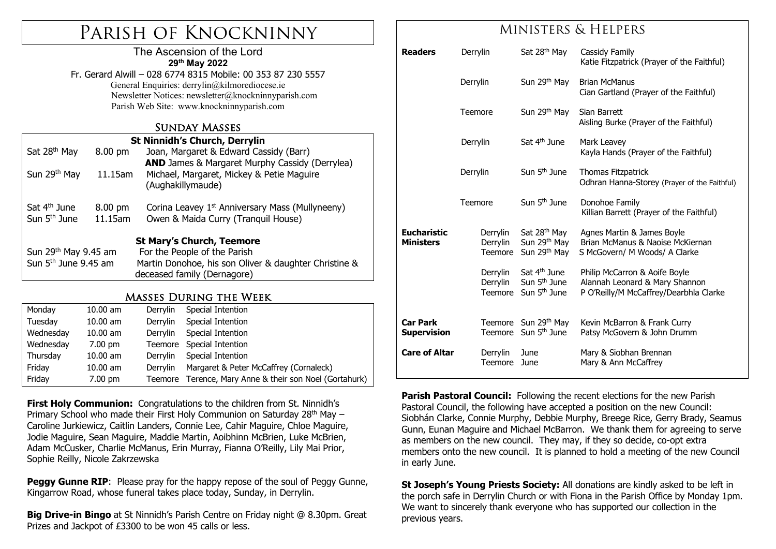# Parish of Knockninny

### The Ascension of the Lord **29th May 2022**

Fr. Gerard Alwill – 028 6774 8315 Mobile: 00 353 87 230 5557 General Enquiries: derrylin@kilmorediocese.ie Newsletter Notices: newsletter@knockninnyparish.com Parish Web Site: www.knockninnyparish.com

### Sunday Masses

| <b>St Ninnidh's Church, Derrylin</b> |                   |                                                             |  |  |  |  |  |
|--------------------------------------|-------------------|-------------------------------------------------------------|--|--|--|--|--|
| Sat 28 <sup>th</sup> May             | $8.00 \text{ pm}$ | Joan, Margaret & Edward Cassidy (Barr)                      |  |  |  |  |  |
|                                      |                   | <b>AND</b> James & Margaret Murphy Cassidy (Derrylea)       |  |  |  |  |  |
| Sun 29 <sup>th</sup> May             | 11.15am           | Michael, Margaret, Mickey & Petie Maguire                   |  |  |  |  |  |
|                                      |                   | (Aughakillymaude)                                           |  |  |  |  |  |
|                                      |                   |                                                             |  |  |  |  |  |
| Sat 4 <sup>th</sup> June             | 8.00 pm           | Corina Leavey 1 <sup>st</sup> Anniversary Mass (Mullyneeny) |  |  |  |  |  |
| Sun $5th$ June                       | 11.15am           | Owen & Maida Curry (Tranquil House)                         |  |  |  |  |  |
|                                      |                   |                                                             |  |  |  |  |  |
| <b>St Mary's Church, Teemore</b>     |                   |                                                             |  |  |  |  |  |
| Sun 29 <sup>th</sup> May 9.45 am     |                   | For the People of the Parish                                |  |  |  |  |  |
| Sun 5 <sup>th</sup> June 9.45 am     |                   | Martin Donohoe, his son Oliver & daughter Christine &       |  |  |  |  |  |
|                                      |                   | deceased family (Dernagore)                                 |  |  |  |  |  |
|                                      |                   |                                                             |  |  |  |  |  |

### Masses During the Week

| Monday    | $10.00$ am        | Derrylin                      | Special Intention                               |  |
|-----------|-------------------|-------------------------------|-------------------------------------------------|--|
| Tuesday   | $10.00$ am        | Derrylin                      | Special Intention                               |  |
| Wednesday | $10.00$ am        | Derrylin                      | Special Intention                               |  |
| Wednesday | $7.00 \text{ pm}$ |                               | Teemore Special Intention                       |  |
| Thursday  | $10.00$ am        | Special Intention<br>Derrylin |                                                 |  |
| Friday    | $10.00$ am        | Derrylin                      | Margaret & Peter McCaffrey (Cornaleck)          |  |
| Friday    | $7.00 \text{ pm}$ | Teemore                       | Terence, Mary Anne & their son Noel (Gortahurk) |  |

**First Holy Communion:** Congratulations to the children from St. Ninnidh's Primary School who made their First Holy Communion on Saturday  $28<sup>th</sup>$  May – Caroline Jurkiewicz, Caitlin Landers, Connie Lee, Cahir Maguire, Chloe Maguire, Jodie Maguire, Sean Maguire, Maddie Martin, Aoibhinn McBrien, Luke McBrien, Adam McCusker, Charlie McManus, Erin Murray, Fianna O'Reilly, Lily Mai Prior, Sophie Reilly, Nicole Zakrzewska

**Peggy Gunne RIP:** Please pray for the happy repose of the soul of Peggy Gunne, Kingarrow Road, whose funeral takes place today, Sunday, in Derrylin.

**Big Drive-in Bingo** at St Ninnidh's Parish Centre on Friday night @ 8.30pm. Great Prizes and Jackpot of £3300 to be won 45 calls or less.

### Ministers & Helpers

| <b>Readers</b>                         | Derrylin                        | Sat 28 <sup>th</sup> May                                                                 | Cassidy Family<br>Katie Fitzpatrick (Prayer of the Faithful)                                              |  |
|----------------------------------------|---------------------------------|------------------------------------------------------------------------------------------|-----------------------------------------------------------------------------------------------------------|--|
|                                        | Derrylin                        | Sun 29 <sup>th</sup> May                                                                 | <b>Brian McManus</b><br>Cian Gartland (Prayer of the Faithful)                                            |  |
|                                        | Teemore                         | Sun 29 <sup>th</sup> May                                                                 | Sian Barrett<br>Aisling Burke (Prayer of the Faithful)                                                    |  |
|                                        | Derrylin                        | Sat 4 <sup>th</sup> June                                                                 | Mark Leavey<br>Kayla Hands (Prayer of the Faithful)                                                       |  |
|                                        | Derrylin                        | Sun 5 <sup>th</sup> June                                                                 | <b>Thomas Fitzpatrick</b><br>Odhran Hanna-Storey (Prayer of the Faithful)                                 |  |
|                                        | Teemore                         | Sun 5 <sup>th</sup> June                                                                 | Donohoe Family<br>Killian Barrett (Prayer of the Faithful)                                                |  |
| <b>Eucharistic</b><br><b>Ministers</b> | Derrylin<br>Derrylin<br>Teemore | Sat 28 <sup>th</sup> May<br>Sun 29 <sup>th</sup> May<br>Sun 29 <sup>th</sup> May         | Agnes Martin & James Boyle<br>Brian McManus & Naoise McKiernan<br>S McGovern/ M Woods/ A Clarke           |  |
|                                        | Derrylin<br>Derrylin            | Sat 4 <sup>th</sup> June<br>Sun 5 <sup>th</sup> June<br>Teemore Sun 5 <sup>th</sup> June | Philip McCarron & Aoife Boyle<br>Alannah Leonard & Mary Shannon<br>P O'Reilly/M McCaffrey/Dearbhla Clarke |  |
| <b>Car Park</b><br><b>Supervision</b>  | Teemore                         | Sun 29 <sup>th</sup> May<br>Teemore Sun 5 <sup>th</sup> June                             | Kevin McBarron & Frank Curry<br>Patsy McGovern & John Drumm                                               |  |
| <b>Care of Altar</b>                   | Derrylin<br>Teemore             | June<br>June                                                                             | Mary & Siobhan Brennan<br>Mary & Ann McCaffrey                                                            |  |

**Parish Pastoral Council:** Following the recent elections for the new Parish Pastoral Council, the following have accepted a position on the new Council: Siobhán Clarke, Connie Murphy, Debbie Murphy, Breege Rice, Gerry Brady, Seamus Gunn, Eunan Maguire and Michael McBarron. We thank them for agreeing to serve as members on the new council. They may, if they so decide, co-opt extra members onto the new council. It is planned to hold a meeting of the new Council in early June.

**St Joseph's Young Priests Society:** All donations are kindly asked to be left in the porch safe in Derrylin Church or with Fiona in the Parish Office by Monday 1pm. We want to sincerely thank everyone who has supported our collection in the previous years.